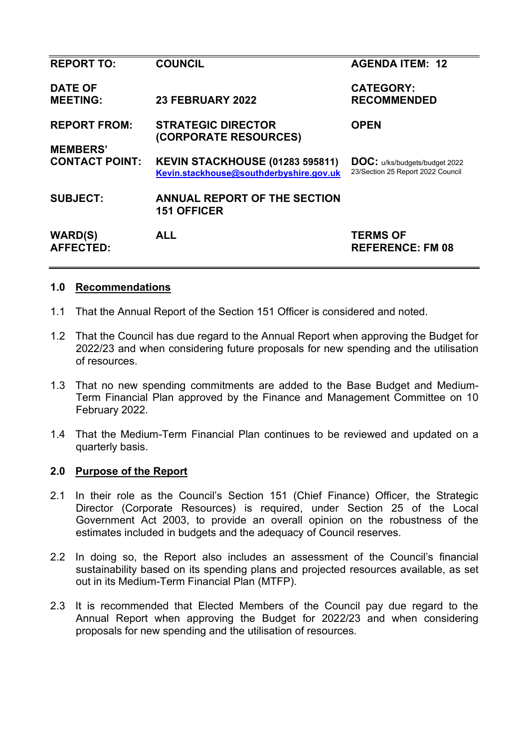| <b>REPORT TO:</b>                  | <b>COUNCIL</b>                                                                    | <b>AGENDA ITEM: 12</b>                                                    |
|------------------------------------|-----------------------------------------------------------------------------------|---------------------------------------------------------------------------|
| <b>DATE OF</b><br><b>MEETING:</b>  | <b>23 FEBRUARY 2022</b>                                                           | <b>CATEGORY:</b><br><b>RECOMMENDED</b>                                    |
| <b>REPORT FROM:</b>                | <b>STRATEGIC DIRECTOR</b><br>(CORPORATE RESOURCES)                                | <b>OPEN</b>                                                               |
| <b>MEMBERS'</b>                    |                                                                                   |                                                                           |
| <b>CONTACT POINT:</b>              | <b>KEVIN STACKHOUSE (01283 595811)</b><br>Kevin.stackhouse@southderbyshire.gov.uk | <b>DOC:</b> u/ks/budgets/budget 2022<br>23/Section 25 Report 2022 Council |
| <b>SUBJECT:</b>                    | <b>ANNUAL REPORT OF THE SECTION</b><br><b>151 OFFICER</b>                         |                                                                           |
| <b>WARD(S)</b><br><b>AFFECTED:</b> | <b>ALL</b>                                                                        | <b>TERMS OF</b><br><b>REFERENCE: FM 08</b>                                |
|                                    |                                                                                   |                                                                           |

### **1.0 Recommendations**

- 1.1 That the Annual Report of the Section 151 Officer is considered and noted.
- 1.2 That the Council has due regard to the Annual Report when approving the Budget for 2022/23 and when considering future proposals for new spending and the utilisation of resources.
- 1.3 That no new spending commitments are added to the Base Budget and Medium-Term Financial Plan approved by the Finance and Management Committee on 10 February 2022.
- 1.4 That the Medium-Term Financial Plan continues to be reviewed and updated on a quarterly basis.

#### **2.0 Purpose of the Report**

- 2.1 In their role as the Council's Section 151 (Chief Finance) Officer, the Strategic Director (Corporate Resources) is required, under Section 25 of the Local Government Act 2003, to provide an overall opinion on the robustness of the estimates included in budgets and the adequacy of Council reserves.
- 2.2 In doing so, the Report also includes an assessment of the Council's financial sustainability based on its spending plans and projected resources available, as set out in its Medium-Term Financial Plan (MTFP).
- 2.3 It is recommended that Elected Members of the Council pay due regard to the Annual Report when approving the Budget for 2022/23 and when considering proposals for new spending and the utilisation of resources.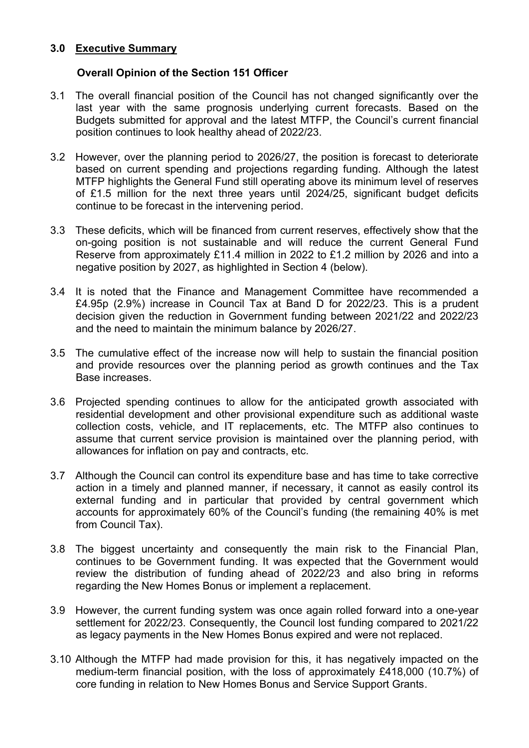## **3.0 Executive Summary**

# **Overall Opinion of the Section 151 Officer**

- 3.1 The overall financial position of the Council has not changed significantly over the last year with the same prognosis underlying current forecasts. Based on the Budgets submitted for approval and the latest MTFP, the Council's current financial position continues to look healthy ahead of 2022/23.
- 3.2 However, over the planning period to 2026/27, the position is forecast to deteriorate based on current spending and projections regarding funding. Although the latest MTFP highlights the General Fund still operating above its minimum level of reserves of £1.5 million for the next three years until 2024/25, significant budget deficits continue to be forecast in the intervening period.
- 3.3 These deficits, which will be financed from current reserves, effectively show that the on-going position is not sustainable and will reduce the current General Fund Reserve from approximately £11.4 million in 2022 to £1.2 million by 2026 and into a negative position by 2027, as highlighted in Section 4 (below).
- 3.4 It is noted that the Finance and Management Committee have recommended a £4.95p (2.9%) increase in Council Tax at Band D for 2022/23. This is a prudent decision given the reduction in Government funding between 2021/22 and 2022/23 and the need to maintain the minimum balance by 2026/27.
- 3.5 The cumulative effect of the increase now will help to sustain the financial position and provide resources over the planning period as growth continues and the Tax Base increases.
- 3.6 Projected spending continues to allow for the anticipated growth associated with residential development and other provisional expenditure such as additional waste collection costs, vehicle, and IT replacements, etc. The MTFP also continues to assume that current service provision is maintained over the planning period, with allowances for inflation on pay and contracts, etc.
- 3.7 Although the Council can control its expenditure base and has time to take corrective action in a timely and planned manner, if necessary, it cannot as easily control its external funding and in particular that provided by central government which accounts for approximately 60% of the Council's funding (the remaining 40% is met from Council Tax).
- 3.8 The biggest uncertainty and consequently the main risk to the Financial Plan, continues to be Government funding. It was expected that the Government would review the distribution of funding ahead of 2022/23 and also bring in reforms regarding the New Homes Bonus or implement a replacement.
- 3.9 However, the current funding system was once again rolled forward into a one-year settlement for 2022/23. Consequently, the Council lost funding compared to 2021/22 as legacy payments in the New Homes Bonus expired and were not replaced.
- 3.10 Although the MTFP had made provision for this, it has negatively impacted on the medium-term financial position, with the loss of approximately £418,000 (10.7%) of core funding in relation to New Homes Bonus and Service Support Grants.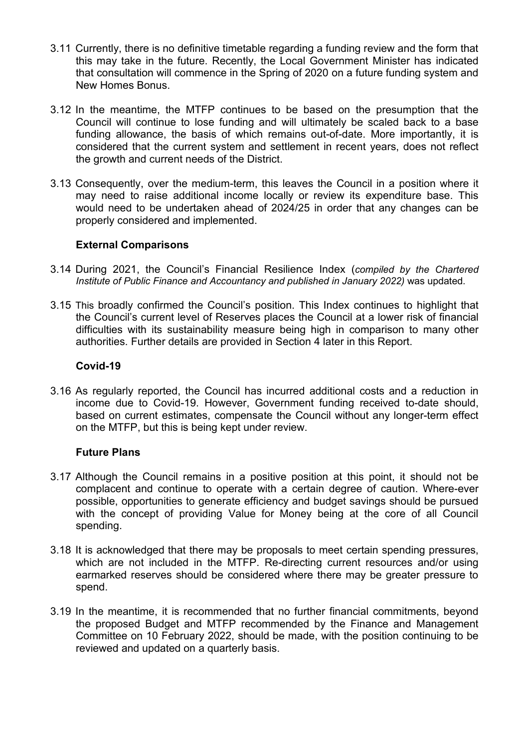- 3.11 Currently, there is no definitive timetable regarding a funding review and the form that this may take in the future. Recently, the Local Government Minister has indicated that consultation will commence in the Spring of 2020 on a future funding system and New Homes Bonus.
- 3.12 In the meantime, the MTFP continues to be based on the presumption that the Council will continue to lose funding and will ultimately be scaled back to a base funding allowance, the basis of which remains out-of-date. More importantly, it is considered that the current system and settlement in recent years, does not reflect the growth and current needs of the District.
- 3.13 Consequently, over the medium-term, this leaves the Council in a position where it may need to raise additional income locally or review its expenditure base. This would need to be undertaken ahead of 2024/25 in order that any changes can be properly considered and implemented.

### **External Comparisons**

- 3.14 During 2021, the Council's Financial Resilience Index (*compiled by the Chartered Institute of Public Finance and Accountancy and published in January 2022)* was updated.
- 3.15 This broadly confirmed the Council's position. This Index continues to highlight that the Council's current level of Reserves places the Council at a lower risk of financial difficulties with its sustainability measure being high in comparison to many other authorities. Further details are provided in Section 4 later in this Report.

### **Covid-19**

3.16 As regularly reported, the Council has incurred additional costs and a reduction in income due to Covid-19. However, Government funding received to-date should, based on current estimates, compensate the Council without any longer-term effect on the MTFP, but this is being kept under review.

### **Future Plans**

- 3.17 Although the Council remains in a positive position at this point, it should not be complacent and continue to operate with a certain degree of caution. Where-ever possible, opportunities to generate efficiency and budget savings should be pursued with the concept of providing Value for Money being at the core of all Council spending.
- 3.18 It is acknowledged that there may be proposals to meet certain spending pressures, which are not included in the MTFP. Re-directing current resources and/or using earmarked reserves should be considered where there may be greater pressure to spend.
- 3.19 In the meantime, it is recommended that no further financial commitments, beyond the proposed Budget and MTFP recommended by the Finance and Management Committee on 10 February 2022, should be made, with the position continuing to be reviewed and updated on a quarterly basis.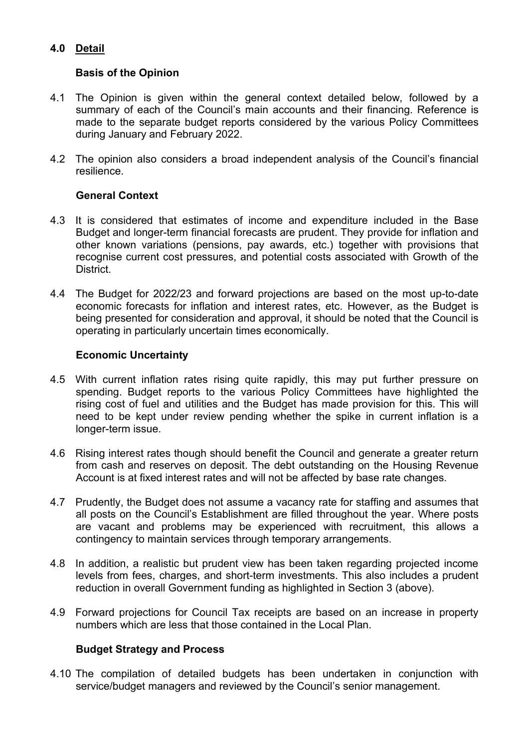# **4.0 Detail**

# **Basis of the Opinion**

- 4.1 The Opinion is given within the general context detailed below, followed by a summary of each of the Council's main accounts and their financing. Reference is made to the separate budget reports considered by the various Policy Committees during January and February 2022.
- 4.2 The opinion also considers a broad independent analysis of the Council's financial resilience.

# **General Context**

- 4.3 It is considered that estimates of income and expenditure included in the Base Budget and longer-term financial forecasts are prudent. They provide for inflation and other known variations (pensions, pay awards, etc.) together with provisions that recognise current cost pressures, and potential costs associated with Growth of the **District**
- 4.4 The Budget for 2022/23 and forward projections are based on the most up-to-date economic forecasts for inflation and interest rates, etc. However, as the Budget is being presented for consideration and approval, it should be noted that the Council is operating in particularly uncertain times economically.

## **Economic Uncertainty**

- 4.5 With current inflation rates rising quite rapidly, this may put further pressure on spending. Budget reports to the various Policy Committees have highlighted the rising cost of fuel and utilities and the Budget has made provision for this. This will need to be kept under review pending whether the spike in current inflation is a longer-term issue.
- 4.6 Rising interest rates though should benefit the Council and generate a greater return from cash and reserves on deposit. The debt outstanding on the Housing Revenue Account is at fixed interest rates and will not be affected by base rate changes.
- 4.7 Prudently, the Budget does not assume a vacancy rate for staffing and assumes that all posts on the Council's Establishment are filled throughout the year. Where posts are vacant and problems may be experienced with recruitment, this allows a contingency to maintain services through temporary arrangements.
- 4.8 In addition, a realistic but prudent view has been taken regarding projected income levels from fees, charges, and short-term investments. This also includes a prudent reduction in overall Government funding as highlighted in Section 3 (above).
- 4.9 Forward projections for Council Tax receipts are based on an increase in property numbers which are less that those contained in the Local Plan.

# **Budget Strategy and Process**

4.10 The compilation of detailed budgets has been undertaken in conjunction with service/budget managers and reviewed by the Council's senior management.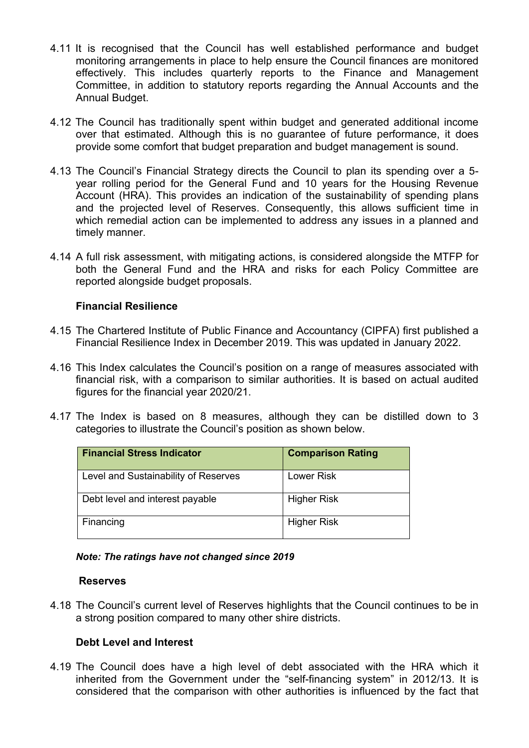- 4.11 It is recognised that the Council has well established performance and budget monitoring arrangements in place to help ensure the Council finances are monitored effectively. This includes quarterly reports to the Finance and Management Committee, in addition to statutory reports regarding the Annual Accounts and the Annual Budget.
- 4.12 The Council has traditionally spent within budget and generated additional income over that estimated. Although this is no guarantee of future performance, it does provide some comfort that budget preparation and budget management is sound.
- 4.13 The Council's Financial Strategy directs the Council to plan its spending over a 5 year rolling period for the General Fund and 10 years for the Housing Revenue Account (HRA). This provides an indication of the sustainability of spending plans and the projected level of Reserves. Consequently, this allows sufficient time in which remedial action can be implemented to address any issues in a planned and timely manner.
- 4.14 A full risk assessment, with mitigating actions, is considered alongside the MTFP for both the General Fund and the HRA and risks for each Policy Committee are reported alongside budget proposals.

## **Financial Resilience**

- 4.15 The Chartered Institute of Public Finance and Accountancy (CIPFA) first published a Financial Resilience Index in December 2019. This was updated in January 2022.
- 4.16 This Index calculates the Council's position on a range of measures associated with financial risk, with a comparison to similar authorities. It is based on actual audited figures for the financial year 2020/21.
- 4.17 The Index is based on 8 measures, although they can be distilled down to 3 categories to illustrate the Council's position as shown below.

| <b>Financial Stress Indicator</b>    | <b>Comparison Rating</b> |
|--------------------------------------|--------------------------|
| Level and Sustainability of Reserves | Lower Risk               |
| Debt level and interest payable      | <b>Higher Risk</b>       |
| Financing                            | <b>Higher Risk</b>       |

#### *Note: The ratings have not changed since 2019*

#### **Reserves**

4.18 The Council's current level of Reserves highlights that the Council continues to be in a strong position compared to many other shire districts.

### **Debt Level and Interest**

4.19 The Council does have a high level of debt associated with the HRA which it inherited from the Government under the "self-financing system" in 2012/13. It is considered that the comparison with other authorities is influenced by the fact that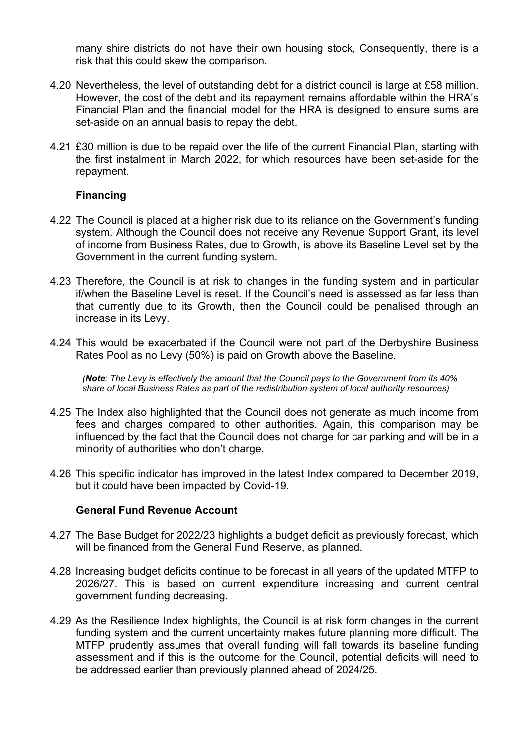many shire districts do not have their own housing stock, Consequently, there is a risk that this could skew the comparison.

- 4.20 Nevertheless, the level of outstanding debt for a district council is large at £58 million. However, the cost of the debt and its repayment remains affordable within the HRA's Financial Plan and the financial model for the HRA is designed to ensure sums are set-aside on an annual basis to repay the debt.
- 4.21 £30 million is due to be repaid over the life of the current Financial Plan, starting with the first instalment in March 2022, for which resources have been set-aside for the repayment.

### **Financing**

- 4.22 The Council is placed at a higher risk due to its reliance on the Government's funding system. Although the Council does not receive any Revenue Support Grant, its level of income from Business Rates, due to Growth, is above its Baseline Level set by the Government in the current funding system.
- 4.23 Therefore, the Council is at risk to changes in the funding system and in particular if/when the Baseline Level is reset. If the Council's need is assessed as far less than that currently due to its Growth, then the Council could be penalised through an increase in its Levy.
- 4.24 This would be exacerbated if the Council were not part of the Derbyshire Business Rates Pool as no Levy (50%) is paid on Growth above the Baseline.

*(Note: The Levy is effectively the amount that the Council pays to the Government from its 40% share of local Business Rates as part of the redistribution system of local authority resources)* 

- 4.25 The Index also highlighted that the Council does not generate as much income from fees and charges compared to other authorities. Again, this comparison may be influenced by the fact that the Council does not charge for car parking and will be in a minority of authorities who don't charge.
- 4.26 This specific indicator has improved in the latest Index compared to December 2019, but it could have been impacted by Covid-19.

### **General Fund Revenue Account**

- 4.27 The Base Budget for 2022/23 highlights a budget deficit as previously forecast, which will be financed from the General Fund Reserve, as planned.
- 4.28 Increasing budget deficits continue to be forecast in all years of the updated MTFP to 2026/27. This is based on current expenditure increasing and current central government funding decreasing.
- 4.29 As the Resilience Index highlights, the Council is at risk form changes in the current funding system and the current uncertainty makes future planning more difficult. The MTFP prudently assumes that overall funding will fall towards its baseline funding assessment and if this is the outcome for the Council, potential deficits will need to be addressed earlier than previously planned ahead of 2024/25.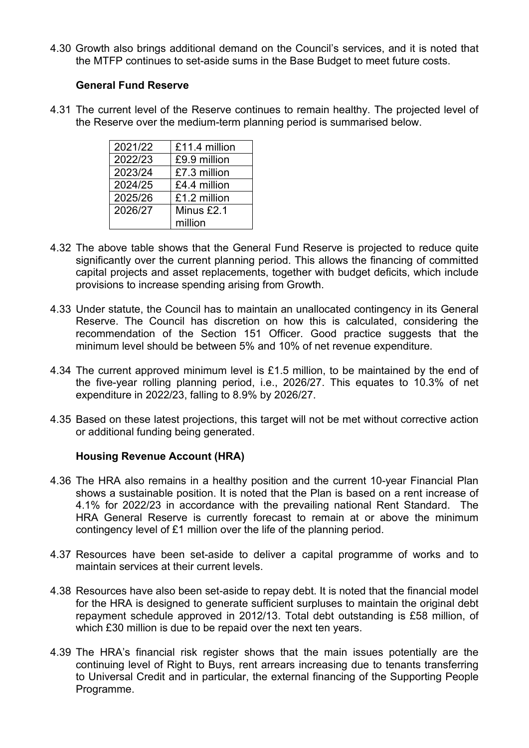4.30 Growth also brings additional demand on the Council's services, and it is noted that the MTFP continues to set-aside sums in the Base Budget to meet future costs.

## **General Fund Reserve**

4.31 The current level of the Reserve continues to remain healthy. The projected level of the Reserve over the medium-term planning period is summarised below.

| 2021/22 | £11.4 million |
|---------|---------------|
| 2022/23 | £9.9 million  |
| 2023/24 | £7.3 million  |
| 2024/25 | £4.4 million  |
| 2025/26 | £1.2 million  |
| 2026/27 | Minus £2.1    |
|         | million       |

- 4.32 The above table shows that the General Fund Reserve is projected to reduce quite significantly over the current planning period. This allows the financing of committed capital projects and asset replacements, together with budget deficits, which include provisions to increase spending arising from Growth.
- 4.33 Under statute, the Council has to maintain an unallocated contingency in its General Reserve. The Council has discretion on how this is calculated, considering the recommendation of the Section 151 Officer. Good practice suggests that the minimum level should be between 5% and 10% of net revenue expenditure.
- 4.34 The current approved minimum level is £1.5 million, to be maintained by the end of the five-year rolling planning period, i.e., 2026/27. This equates to 10.3% of net expenditure in 2022/23, falling to 8.9% by 2026/27.
- 4.35 Based on these latest projections, this target will not be met without corrective action or additional funding being generated.

# **Housing Revenue Account (HRA)**

- 4.36 The HRA also remains in a healthy position and the current 10-year Financial Plan shows a sustainable position. It is noted that the Plan is based on a rent increase of 4.1% for 2022/23 in accordance with the prevailing national Rent Standard. The HRA General Reserve is currently forecast to remain at or above the minimum contingency level of £1 million over the life of the planning period.
- 4.37 Resources have been set-aside to deliver a capital programme of works and to maintain services at their current levels.
- 4.38 Resources have also been set-aside to repay debt. It is noted that the financial model for the HRA is designed to generate sufficient surpluses to maintain the original debt repayment schedule approved in 2012/13. Total debt outstanding is £58 million, of which £30 million is due to be repaid over the next ten years.
- 4.39 The HRA's financial risk register shows that the main issues potentially are the continuing level of Right to Buys, rent arrears increasing due to tenants transferring to Universal Credit and in particular, the external financing of the Supporting People Programme.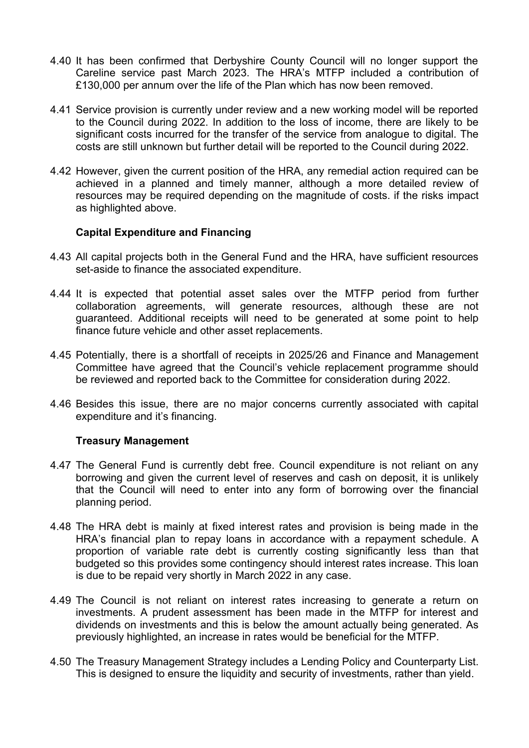- 4.40 It has been confirmed that Derbyshire County Council will no longer support the Careline service past March 2023. The HRA's MTFP included a contribution of £130,000 per annum over the life of the Plan which has now been removed.
- 4.41 Service provision is currently under review and a new working model will be reported to the Council during 2022. In addition to the loss of income, there are likely to be significant costs incurred for the transfer of the service from analogue to digital. The costs are still unknown but further detail will be reported to the Council during 2022.
- 4.42 However, given the current position of the HRA, any remedial action required can be achieved in a planned and timely manner, although a more detailed review of resources may be required depending on the magnitude of costs. if the risks impact as highlighted above.

## **Capital Expenditure and Financing**

- 4.43 All capital projects both in the General Fund and the HRA, have sufficient resources set-aside to finance the associated expenditure.
- 4.44 It is expected that potential asset sales over the MTFP period from further collaboration agreements, will generate resources, although these are not guaranteed. Additional receipts will need to be generated at some point to help finance future vehicle and other asset replacements.
- 4.45 Potentially, there is a shortfall of receipts in 2025/26 and Finance and Management Committee have agreed that the Council's vehicle replacement programme should be reviewed and reported back to the Committee for consideration during 2022.
- 4.46 Besides this issue, there are no major concerns currently associated with capital expenditure and it's financing.

### **Treasury Management**

- 4.47 The General Fund is currently debt free. Council expenditure is not reliant on any borrowing and given the current level of reserves and cash on deposit, it is unlikely that the Council will need to enter into any form of borrowing over the financial planning period.
- 4.48 The HRA debt is mainly at fixed interest rates and provision is being made in the HRA's financial plan to repay loans in accordance with a repayment schedule. A proportion of variable rate debt is currently costing significantly less than that budgeted so this provides some contingency should interest rates increase. This loan is due to be repaid very shortly in March 2022 in any case.
- 4.49 The Council is not reliant on interest rates increasing to generate a return on investments. A prudent assessment has been made in the MTFP for interest and dividends on investments and this is below the amount actually being generated. As previously highlighted, an increase in rates would be beneficial for the MTFP.
- 4.50 The Treasury Management Strategy includes a Lending Policy and Counterparty List. This is designed to ensure the liquidity and security of investments, rather than yield.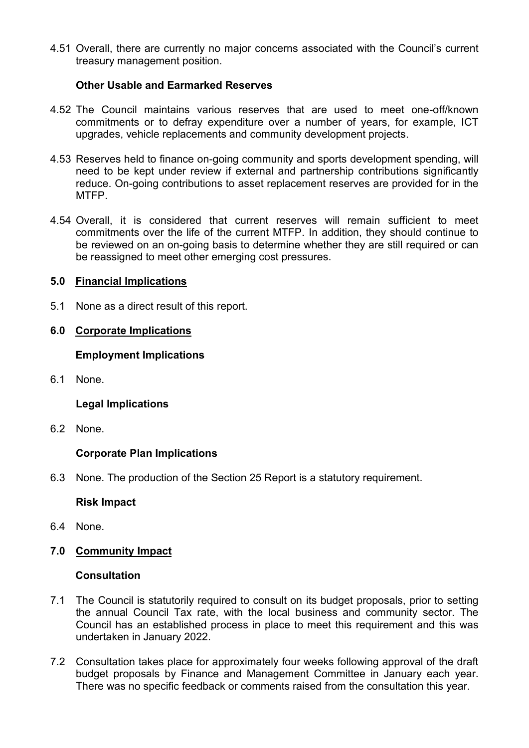4.51 Overall, there are currently no major concerns associated with the Council's current treasury management position.

## **Other Usable and Earmarked Reserves**

- 4.52 The Council maintains various reserves that are used to meet one-off/known commitments or to defray expenditure over a number of years, for example, ICT upgrades, vehicle replacements and community development projects.
- 4.53 Reserves held to finance on-going community and sports development spending, will need to be kept under review if external and partnership contributions significantly reduce. On-going contributions to asset replacement reserves are provided for in the MTFP.
- 4.54 Overall, it is considered that current reserves will remain sufficient to meet commitments over the life of the current MTFP. In addition, they should continue to be reviewed on an on-going basis to determine whether they are still required or can be reassigned to meet other emerging cost pressures.

## **5.0 Financial Implications**

5.1 None as a direct result of this report.

# **6.0 Corporate Implications**

## **Employment Implications**

6.1 None.

# **Legal Implications**

6.2 None.

# **Corporate Plan Implications**

6.3 None. The production of the Section 25 Report is a statutory requirement.

### **Risk Impact**

- 6.4 None.
- **7.0 Community Impact**

### **Consultation**

- 7.1 The Council is statutorily required to consult on its budget proposals, prior to setting the annual Council Tax rate, with the local business and community sector. The Council has an established process in place to meet this requirement and this was undertaken in January 2022.
- 7.2 Consultation takes place for approximately four weeks following approval of the draft budget proposals by Finance and Management Committee in January each year. There was no specific feedback or comments raised from the consultation this year.